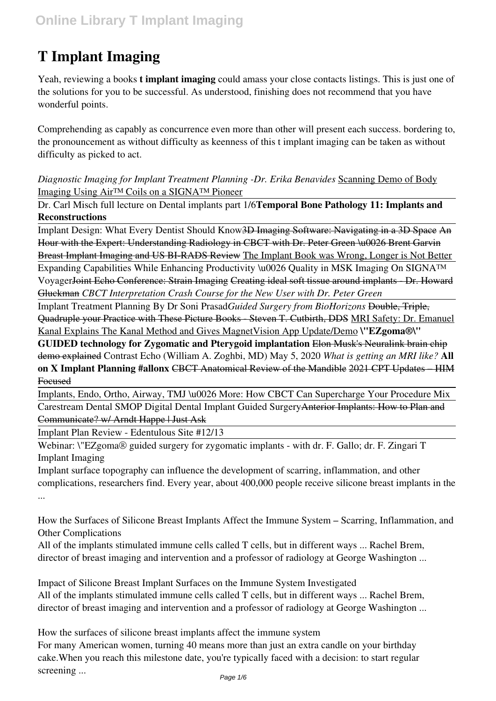# **T Implant Imaging**

Yeah, reviewing a books **t implant imaging** could amass your close contacts listings. This is just one of the solutions for you to be successful. As understood, finishing does not recommend that you have wonderful points.

Comprehending as capably as concurrence even more than other will present each success. bordering to, the pronouncement as without difficulty as keenness of this t implant imaging can be taken as without difficulty as picked to act.

*Diagnostic Imaging for Implant Treatment Planning -Dr. Erika Benavides* Scanning Demo of Body Imaging Using Air™ Coils on a SIGNA™ Pioneer

Dr. Carl Misch full lecture on Dental implants part 1/6**Temporal Bone Pathology 11: Implants and Reconstructions**

Implant Design: What Every Dentist Should Know<del>3D Imaging Software: Navigating in a 3D Space An</del> Hour with the Expert: Understanding Radiology in CBCT with Dr. Peter Green \u0026 Brent Garvin Breast Implant Imaging and US BI-RADS Review The Implant Book was Wrong, Longer is Not Better

Expanding Capabilities While Enhancing Productivity \u0026 Quality in MSK Imaging On SIGNA™ VoyagerJoint Echo Conference: Strain Imaging Creating ideal soft tissue around implants - Dr. Howard Gluckman *CBCT Interpretation Crash Course for the New User with Dr. Peter Green*

Implant Treatment Planning By Dr Soni Prasad*Guided Surgery from BioHorizons* Double, Triple, Quadruple your Practice with These Picture Books - Steven T. Cutbirth, DDS MRI Safety: Dr. Emanuel Kanal Explains The Kanal Method and Gives MagnetVision App Update/Demo **\"EZgoma®\"**

**GUIDED technology for Zygomatic and Pterygoid implantation** Elon Musk's Neuralink brain chip demo explained Contrast Echo (William A. Zoghbi, MD) May 5, 2020 *What is getting an MRI like?* **All on X Implant Planning #allonx** CBCT Anatomical Review of the Mandible 2021 CPT Updates – HIM Focused

Implants, Endo, Ortho, Airway, TMJ \u0026 More: How CBCT Can Supercharge Your Procedure Mix Carestream Dental SMOP Digital Dental Implant Guided SurgeryAnterior Implants: How to Plan and Communicate? w/ Arndt Happe | Just Ask

Implant Plan Review - Edentulous Site #12/13

Webinar: \"EZgoma® guided surgery for zygomatic implants - with dr. F. Gallo; dr. F. Zingari T Implant Imaging

Implant surface topography can influence the development of scarring, inflammation, and other complications, researchers find. Every year, about 400,000 people receive silicone breast implants in the ...

How the Surfaces of Silicone Breast Implants Affect the Immune System – Scarring, Inflammation, and Other Complications

All of the implants stimulated immune cells called T cells, but in different ways ... Rachel Brem, director of breast imaging and intervention and a professor of radiology at George Washington ...

Impact of Silicone Breast Implant Surfaces on the Immune System Investigated All of the implants stimulated immune cells called T cells, but in different ways ... Rachel Brem, director of breast imaging and intervention and a professor of radiology at George Washington ...

How the surfaces of silicone breast implants affect the immune system For many American women, turning 40 means more than just an extra candle on your birthday cake.When you reach this milestone date, you're typically faced with a decision: to start regular screening ...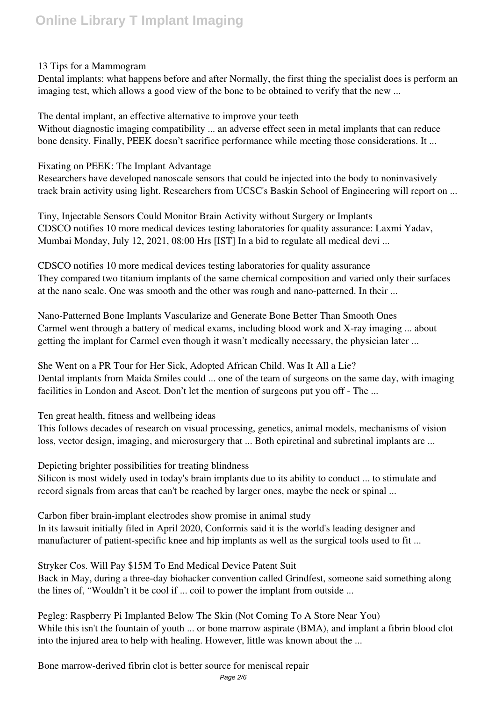#### 13 Tips for a Mammogram

Dental implants: what happens before and after Normally, the first thing the specialist does is perform an imaging test, which allows a good view of the bone to be obtained to verify that the new ...

The dental implant, an effective alternative to improve your teeth Without diagnostic imaging compatibility ... an adverse effect seen in metal implants that can reduce bone density. Finally, PEEK doesn't sacrifice performance while meeting those considerations. It ...

Fixating on PEEK: The Implant Advantage

Researchers have developed nanoscale sensors that could be injected into the body to noninvasively track brain activity using light. Researchers from UCSC's Baskin School of Engineering will report on ...

Tiny, Injectable Sensors Could Monitor Brain Activity without Surgery or Implants CDSCO notifies 10 more medical devices testing laboratories for quality assurance: Laxmi Yadav, Mumbai Monday, July 12, 2021, 08:00 Hrs [IST] In a bid to regulate all medical devi ...

CDSCO notifies 10 more medical devices testing laboratories for quality assurance They compared two titanium implants of the same chemical composition and varied only their surfaces at the nano scale. One was smooth and the other was rough and nano-patterned. In their ...

Nano-Patterned Bone Implants Vascularize and Generate Bone Better Than Smooth Ones Carmel went through a battery of medical exams, including blood work and X-ray imaging ... about getting the implant for Carmel even though it wasn't medically necessary, the physician later ...

She Went on a PR Tour for Her Sick, Adopted African Child. Was It All a Lie? Dental implants from Maida Smiles could ... one of the team of surgeons on the same day, with imaging facilities in London and Ascot. Don't let the mention of surgeons put you off - The ...

Ten great health, fitness and wellbeing ideas

This follows decades of research on visual processing, genetics, animal models, mechanisms of vision loss, vector design, imaging, and microsurgery that ... Both epiretinal and subretinal implants are ...

Depicting brighter possibilities for treating blindness Silicon is most widely used in today's brain implants due to its ability to conduct ... to stimulate and record signals from areas that can't be reached by larger ones, maybe the neck or spinal ...

Carbon fiber brain-implant electrodes show promise in animal study In its lawsuit initially filed in April 2020, Conformis said it is the world's leading designer and manufacturer of patient-specific knee and hip implants as well as the surgical tools used to fit ...

Stryker Cos. Will Pay \$15M To End Medical Device Patent Suit

Back in May, during a three-day biohacker convention called Grindfest, someone said something along the lines of, "Wouldn't it be cool if ... coil to power the implant from outside ...

Pegleg: Raspberry Pi Implanted Below The Skin (Not Coming To A Store Near You) While this isn't the fountain of youth ... or bone marrow aspirate (BMA), and implant a fibrin blood clot into the injured area to help with healing. However, little was known about the ...

Bone marrow-derived fibrin clot is better source for meniscal repair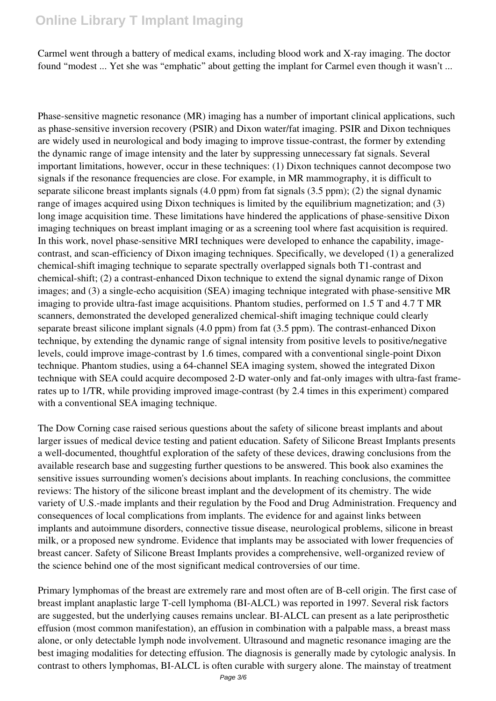Carmel went through a battery of medical exams, including blood work and X-ray imaging. The doctor found "modest ... Yet she was "emphatic" about getting the implant for Carmel even though it wasn't ...

Phase-sensitive magnetic resonance (MR) imaging has a number of important clinical applications, such as phase-sensitive inversion recovery (PSIR) and Dixon water/fat imaging. PSIR and Dixon techniques are widely used in neurological and body imaging to improve tissue-contrast, the former by extending the dynamic range of image intensity and the later by suppressing unnecessary fat signals. Several important limitations, however, occur in these techniques: (1) Dixon techniques cannot decompose two signals if the resonance frequencies are close. For example, in MR mammography, it is difficult to separate silicone breast implants signals (4.0 ppm) from fat signals (3.5 ppm); (2) the signal dynamic range of images acquired using Dixon techniques is limited by the equilibrium magnetization; and (3) long image acquisition time. These limitations have hindered the applications of phase-sensitive Dixon imaging techniques on breast implant imaging or as a screening tool where fast acquisition is required. In this work, novel phase-sensitive MRI techniques were developed to enhance the capability, imagecontrast, and scan-efficiency of Dixon imaging techniques. Specifically, we developed (1) a generalized chemical-shift imaging technique to separate spectrally overlapped signals both T1-contrast and chemical-shift; (2) a contrast-enhanced Dixon technique to extend the signal dynamic range of Dixon images; and (3) a single-echo acquisition (SEA) imaging technique integrated with phase-sensitive MR imaging to provide ultra-fast image acquisitions. Phantom studies, performed on 1.5 T and 4.7 T MR scanners, demonstrated the developed generalized chemical-shift imaging technique could clearly separate breast silicone implant signals (4.0 ppm) from fat (3.5 ppm). The contrast-enhanced Dixon technique, by extending the dynamic range of signal intensity from positive levels to positive/negative levels, could improve image-contrast by 1.6 times, compared with a conventional single-point Dixon technique. Phantom studies, using a 64-channel SEA imaging system, showed the integrated Dixon technique with SEA could acquire decomposed 2-D water-only and fat-only images with ultra-fast framerates up to 1/TR, while providing improved image-contrast (by 2.4 times in this experiment) compared with a conventional SEA imaging technique.

The Dow Corning case raised serious questions about the safety of silicone breast implants and about larger issues of medical device testing and patient education. Safety of Silicone Breast Implants presents a well-documented, thoughtful exploration of the safety of these devices, drawing conclusions from the available research base and suggesting further questions to be answered. This book also examines the sensitive issues surrounding women's decisions about implants. In reaching conclusions, the committee reviews: The history of the silicone breast implant and the development of its chemistry. The wide variety of U.S.-made implants and their regulation by the Food and Drug Administration. Frequency and consequences of local complications from implants. The evidence for and against links between implants and autoimmune disorders, connective tissue disease, neurological problems, silicone in breast milk, or a proposed new syndrome. Evidence that implants may be associated with lower frequencies of breast cancer. Safety of Silicone Breast Implants provides a comprehensive, well-organized review of the science behind one of the most significant medical controversies of our time.

Primary lymphomas of the breast are extremely rare and most often are of B-cell origin. The first case of breast implant anaplastic large T-cell lymphoma (BI-ALCL) was reported in 1997. Several risk factors are suggested, but the underlying causes remains unclear. BI-ALCL can present as a late periprosthetic effusion (most common manifestation), an effusion in combination with a palpable mass, a breast mass alone, or only detectable lymph node involvement. Ultrasound and magnetic resonance imaging are the best imaging modalities for detecting effusion. The diagnosis is generally made by cytologic analysis. In contrast to others lymphomas, BI-ALCL is often curable with surgery alone. The mainstay of treatment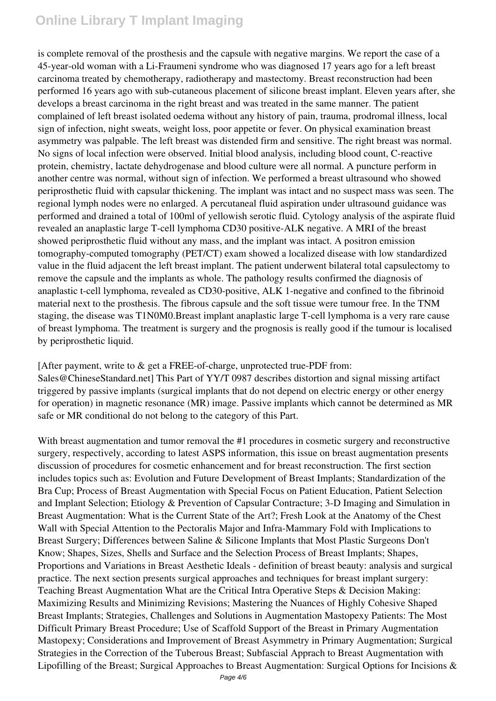is complete removal of the prosthesis and the capsule with negative margins. We report the case of a 45-year-old woman with a Li-Fraumeni syndrome who was diagnosed 17 years ago for a left breast carcinoma treated by chemotherapy, radiotherapy and mastectomy. Breast reconstruction had been performed 16 years ago with sub-cutaneous placement of silicone breast implant. Eleven years after, she develops a breast carcinoma in the right breast and was treated in the same manner. The patient complained of left breast isolated oedema without any history of pain, trauma, prodromal illness, local sign of infection, night sweats, weight loss, poor appetite or fever. On physical examination breast asymmetry was palpable. The left breast was distended firm and sensitive. The right breast was normal. No signs of local infection were observed. Initial blood analysis, including blood count, C-reactive protein, chemistry, lactate dehydrogenase and blood culture were all normal. A puncture perform in another centre was normal, without sign of infection. We performed a breast ultrasound who showed periprosthetic fluid with capsular thickening. The implant was intact and no suspect mass was seen. The regional lymph nodes were no enlarged. A percutaneal fluid aspiration under ultrasound guidance was performed and drained a total of 100ml of yellowish serotic fluid. Cytology analysis of the aspirate fluid revealed an anaplastic large T-cell lymphoma CD30 positive-ALK negative. A MRI of the breast showed periprosthetic fluid without any mass, and the implant was intact. A positron emission tomography-computed tomography (PET/CT) exam showed a localized disease with low standardized value in the fluid adjacent the left breast implant. The patient underwent bilateral total capsulectomy to remove the capsule and the implants as whole. The pathology results confirmed the diagnosis of anaplastic t-cell lymphoma, revealed as CD30-positive, ALK 1-negative and confined to the fibrinoid material next to the prosthesis. The fibrous capsule and the soft tissue were tumour free. In the TNM staging, the disease was T1N0M0.Breast implant anaplastic large T-cell lymphoma is a very rare cause of breast lymphoma. The treatment is surgery and the prognosis is really good if the tumour is localised by periprosthetic liquid.

[After payment, write to & get a FREE-of-charge, unprotected true-PDF from: Sales@ChineseStandard.net] This Part of YY/T 0987 describes distortion and signal missing artifact triggered by passive implants (surgical implants that do not depend on electric energy or other energy for operation) in magnetic resonance (MR) image. Passive implants which cannot be determined as MR safe or MR conditional do not belong to the category of this Part.

With breast augmentation and tumor removal the #1 procedures in cosmetic surgery and reconstructive surgery, respectively, according to latest ASPS information, this issue on breast augmentation presents discussion of procedures for cosmetic enhancement and for breast reconstruction. The first section includes topics such as: Evolution and Future Development of Breast Implants; Standardization of the Bra Cup; Process of Breast Augmentation with Special Focus on Patient Education, Patient Selection and Implant Selection; Etiology & Prevention of Capsular Contracture; 3-D Imaging and Simulation in Breast Augmentation: What is the Current State of the Art?; Fresh Look at the Anatomy of the Chest Wall with Special Attention to the Pectoralis Major and Infra-Mammary Fold with Implications to Breast Surgery; Differences between Saline & Silicone Implants that Most Plastic Surgeons Don't Know; Shapes, Sizes, Shells and Surface and the Selection Process of Breast Implants; Shapes, Proportions and Variations in Breast Aesthetic Ideals - definition of breast beauty: analysis and surgical practice. The next section presents surgical approaches and techniques for breast implant surgery: Teaching Breast Augmentation What are the Critical Intra Operative Steps & Decision Making: Maximizing Results and Minimizing Revisions; Mastering the Nuances of Highly Cohesive Shaped Breast Implants; Strategies, Challenges and Solutions in Augmentation Mastopexy Patients: The Most Difficult Primary Breast Procedure; Use of Scaffold Support of the Breast in Primary Augmentation Mastopexy; Considerations and Improvement of Breast Asymmetry in Primary Augmentation; Surgical Strategies in the Correction of the Tuberous Breast; Subfascial Apprach to Breast Augmentation with Lipofilling of the Breast; Surgical Approaches to Breast Augmentation: Surgical Options for Incisions &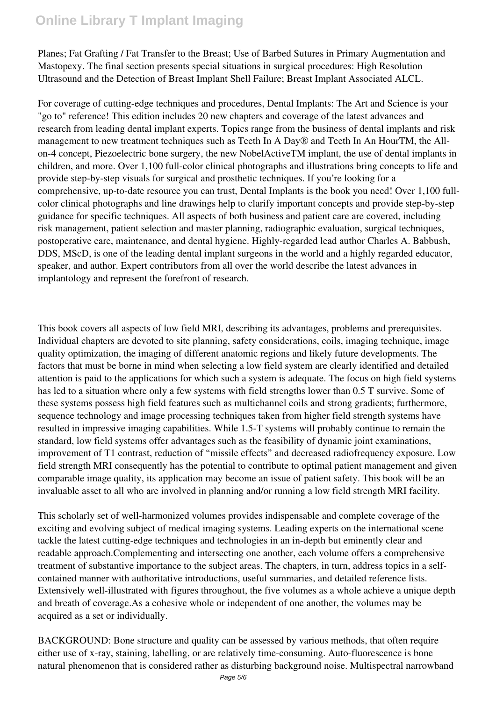Planes; Fat Grafting / Fat Transfer to the Breast; Use of Barbed Sutures in Primary Augmentation and Mastopexy. The final section presents special situations in surgical procedures: High Resolution Ultrasound and the Detection of Breast Implant Shell Failure; Breast Implant Associated ALCL.

For coverage of cutting-edge techniques and procedures, Dental Implants: The Art and Science is your "go to" reference! This edition includes 20 new chapters and coverage of the latest advances and research from leading dental implant experts. Topics range from the business of dental implants and risk management to new treatment techniques such as Teeth In A Day® and Teeth In An HourTM, the Allon-4 concept, Piezoelectric bone surgery, the new NobelActiveTM implant, the use of dental implants in children, and more. Over 1,100 full-color clinical photographs and illustrations bring concepts to life and provide step-by-step visuals for surgical and prosthetic techniques. If you're looking for a comprehensive, up-to-date resource you can trust, Dental Implants is the book you need! Over 1,100 fullcolor clinical photographs and line drawings help to clarify important concepts and provide step-by-step guidance for specific techniques. All aspects of both business and patient care are covered, including risk management, patient selection and master planning, radiographic evaluation, surgical techniques, postoperative care, maintenance, and dental hygiene. Highly-regarded lead author Charles A. Babbush, DDS, MScD, is one of the leading dental implant surgeons in the world and a highly regarded educator, speaker, and author. Expert contributors from all over the world describe the latest advances in implantology and represent the forefront of research.

This book covers all aspects of low field MRI, describing its advantages, problems and prerequisites. Individual chapters are devoted to site planning, safety considerations, coils, imaging technique, image quality optimization, the imaging of different anatomic regions and likely future developments. The factors that must be borne in mind when selecting a low field system are clearly identified and detailed attention is paid to the applications for which such a system is adequate. The focus on high field systems has led to a situation where only a few systems with field strengths lower than 0.5 T survive. Some of these systems possess high field features such as multichannel coils and strong gradients; furthermore, sequence technology and image processing techniques taken from higher field strength systems have resulted in impressive imaging capabilities. While 1.5-T systems will probably continue to remain the standard, low field systems offer advantages such as the feasibility of dynamic joint examinations, improvement of T1 contrast, reduction of "missile effects" and decreased radiofrequency exposure. Low field strength MRI consequently has the potential to contribute to optimal patient management and given comparable image quality, its application may become an issue of patient safety. This book will be an invaluable asset to all who are involved in planning and/or running a low field strength MRI facility.

This scholarly set of well-harmonized volumes provides indispensable and complete coverage of the exciting and evolving subject of medical imaging systems. Leading experts on the international scene tackle the latest cutting-edge techniques and technologies in an in-depth but eminently clear and readable approach.Complementing and intersecting one another, each volume offers a comprehensive treatment of substantive importance to the subject areas. The chapters, in turn, address topics in a selfcontained manner with authoritative introductions, useful summaries, and detailed reference lists. Extensively well-illustrated with figures throughout, the five volumes as a whole achieve a unique depth and breath of coverage.As a cohesive whole or independent of one another, the volumes may be acquired as a set or individually.

BACKGROUND: Bone structure and quality can be assessed by various methods, that often require either use of x-ray, staining, labelling, or are relatively time-consuming. Auto-fluorescence is bone natural phenomenon that is considered rather as disturbing background noise. Multispectral narrowband